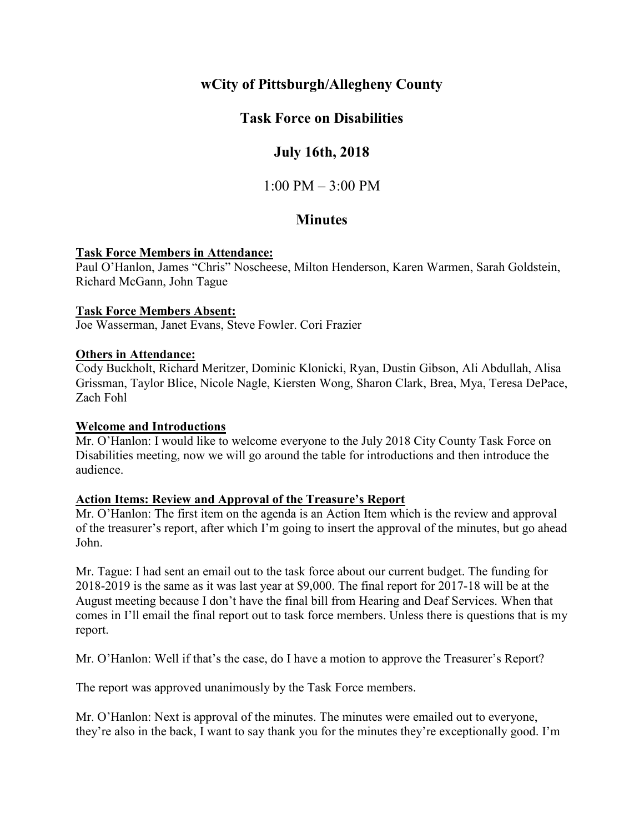# **wCity of Pittsburgh/Allegheny County**

# **Task Force on Disabilities**

# **July 16th, 2018**

 $1:00 \text{ PM} - 3:00 \text{ PM}$ 

# **Minutes**

## **Task Force Members in Attendance:**

Paul O'Hanlon, James "Chris" Noscheese, Milton Henderson, Karen Warmen, Sarah Goldstein, Richard McGann, John Tague

## **Task Force Members Absent:**

Joe Wasserman, Janet Evans, Steve Fowler. Cori Frazier

#### **Others in Attendance:**

Cody Buckholt, Richard Meritzer, Dominic Klonicki, Ryan, Dustin Gibson, Ali Abdullah, Alisa Grissman, Taylor Blice, Nicole Nagle, Kiersten Wong, Sharon Clark, Brea, Mya, Teresa DePace, Zach Fohl

## **Welcome and Introductions**

Mr. O'Hanlon: I would like to welcome everyone to the July 2018 City County Task Force on Disabilities meeting, now we will go around the table for introductions and then introduce the audience.

## **Action Items: Review and Approval of the Treasure's Report**

Mr. O'Hanlon: The first item on the agenda is an Action Item which is the review and approval of the treasurer's report, after which I'm going to insert the approval of the minutes, but go ahead John.

Mr. Tague: I had sent an email out to the task force about our current budget. The funding for 2018-2019 is the same as it was last year at \$9,000. The final report for 2017-18 will be at the August meeting because I don't have the final bill from Hearing and Deaf Services. When that comes in I'll email the final report out to task force members. Unless there is questions that is my report.

Mr. O'Hanlon: Well if that's the case, do I have a motion to approve the Treasurer's Report?

The report was approved unanimously by the Task Force members.

Mr. O'Hanlon: Next is approval of the minutes. The minutes were emailed out to everyone, they're also in the back, I want to say thank you for the minutes they're exceptionally good. I'm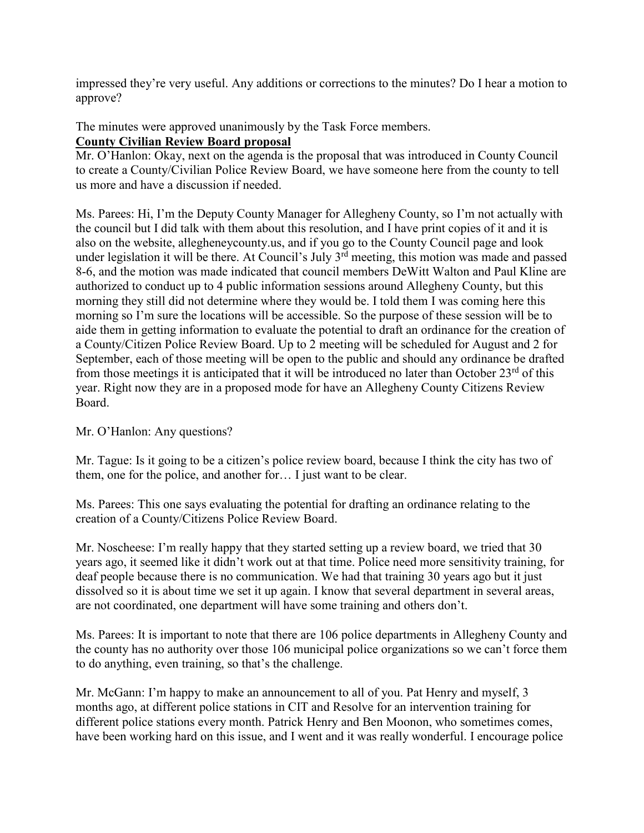impressed they're very useful. Any additions or corrections to the minutes? Do I hear a motion to approve?

The minutes were approved unanimously by the Task Force members.

# **County Civilian Review Board proposal**

Mr. O'Hanlon: Okay, next on the agenda is the proposal that was introduced in County Council to create a County/Civilian Police Review Board, we have someone here from the county to tell us more and have a discussion if needed.

Ms. Parees: Hi, I'm the Deputy County Manager for Allegheny County, so I'm not actually with the council but I did talk with them about this resolution, and I have print copies of it and it is also on the website, allegheneycounty.us, and if you go to the County Council page and look under legislation it will be there. At Council's July  $3<sup>rd</sup>$  meeting, this motion was made and passed 8-6, and the motion was made indicated that council members DeWitt Walton and Paul Kline are authorized to conduct up to 4 public information sessions around Allegheny County, but this morning they still did not determine where they would be. I told them I was coming here this morning so I'm sure the locations will be accessible. So the purpose of these session will be to aide them in getting information to evaluate the potential to draft an ordinance for the creation of a County/Citizen Police Review Board. Up to 2 meeting will be scheduled for August and 2 for September, each of those meeting will be open to the public and should any ordinance be drafted from those meetings it is anticipated that it will be introduced no later than October  $23<sup>rd</sup>$  of this year. Right now they are in a proposed mode for have an Allegheny County Citizens Review Board.

Mr. O'Hanlon: Any questions?

Mr. Tague: Is it going to be a citizen's police review board, because I think the city has two of them, one for the police, and another for… I just want to be clear.

Ms. Parees: This one says evaluating the potential for drafting an ordinance relating to the creation of a County/Citizens Police Review Board.

Mr. Noscheese: I'm really happy that they started setting up a review board, we tried that 30 years ago, it seemed like it didn't work out at that time. Police need more sensitivity training, for deaf people because there is no communication. We had that training 30 years ago but it just dissolved so it is about time we set it up again. I know that several department in several areas, are not coordinated, one department will have some training and others don't.

Ms. Parees: It is important to note that there are 106 police departments in Allegheny County and the county has no authority over those 106 municipal police organizations so we can't force them to do anything, even training, so that's the challenge.

Mr. McGann: I'm happy to make an announcement to all of you. Pat Henry and myself, 3 months ago, at different police stations in CIT and Resolve for an intervention training for different police stations every month. Patrick Henry and Ben Moonon, who sometimes comes, have been working hard on this issue, and I went and it was really wonderful. I encourage police